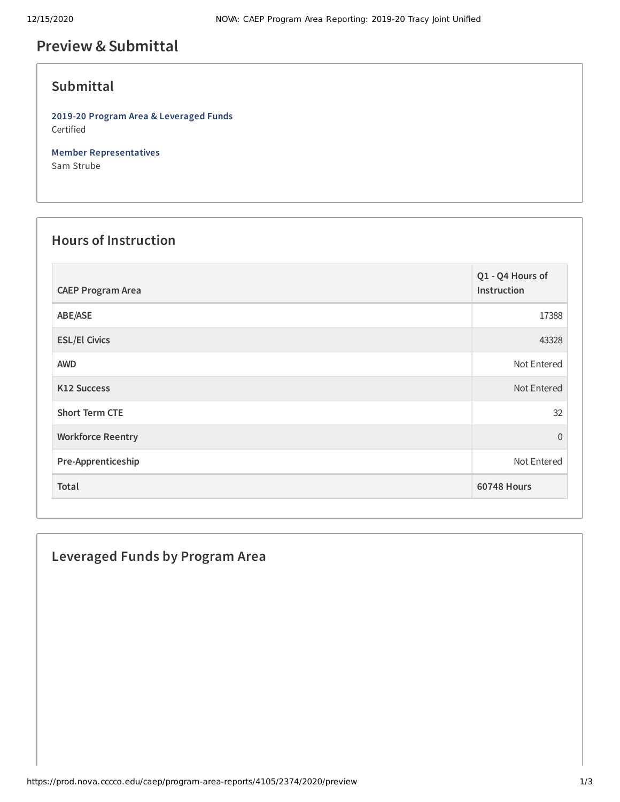# **Preview &Submittal**

## **Submittal**

**2019-20 Program Area & Leveraged Funds** Certified

**Member Representatives** Sam Strube

#### **Hours of Instruction**

| <b>CAEP Program Area</b> | Q1 - Q4 Hours of<br>Instruction |
|--------------------------|---------------------------------|
| ABE/ASE                  | 17388                           |
| <b>ESL/El Civics</b>     | 43328                           |
| <b>AWD</b>               | Not Entered                     |
| <b>K12 Success</b>       | Not Entered                     |
| <b>Short Term CTE</b>    | 32                              |
| <b>Workforce Reentry</b> | $\Omega$                        |
| Pre-Apprenticeship       | Not Entered                     |
| Total                    | <b>60748 Hours</b>              |

### **Leveraged Funds by Program Area**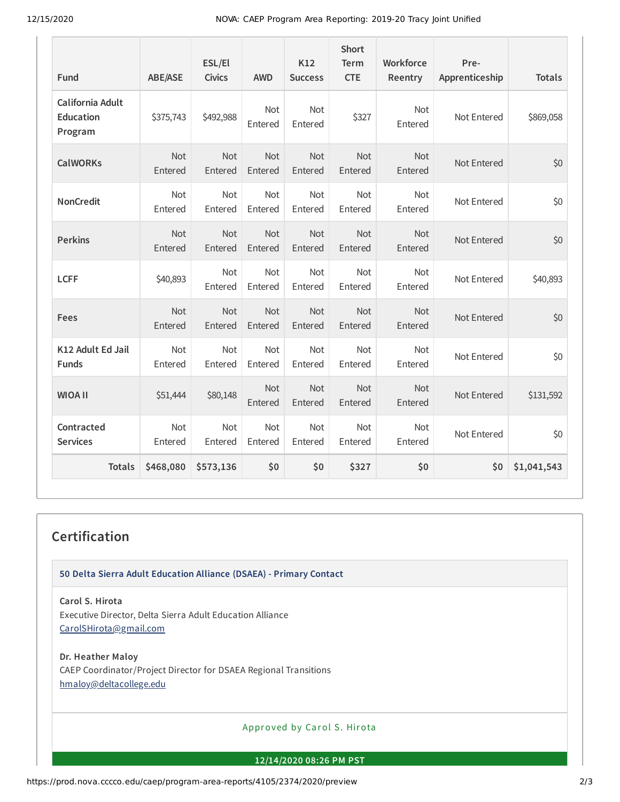12/15/2020 NOVA: CAEP Program Area Reporting: 2019-20 Tracy Joint Unified

| Fund                                                   | <b>ABE/ASE</b>        | ESL/El<br><b>Civics</b> | <b>AWD</b>            | K12<br><b>Success</b> | <b>Short</b><br><b>Term</b><br><b>CTE</b> | Workforce<br>Reentry  | Pre-<br>Apprenticeship | <b>Totals</b> |
|--------------------------------------------------------|-----------------------|-------------------------|-----------------------|-----------------------|-------------------------------------------|-----------------------|------------------------|---------------|
| <b>California Adult</b><br><b>Education</b><br>Program | \$375,743             | \$492,988               | Not<br>Entered        | Not<br>Entered        | \$327                                     | Not<br>Entered        | Not Entered            | \$869,058     |
| <b>CalWORKs</b>                                        | Not<br>Entered        | Not<br>Entered          | Not<br>Entered        | Not<br>Entered        | Not<br>Entered                            | Not<br>Entered        | Not Entered            | \$0           |
| <b>NonCredit</b>                                       | Not<br>Entered        | Not<br>Entered          | Not<br>Entered        | Not<br>Entered        | Not<br>Entered                            | Not<br>Entered        | Not Entered            | \$0           |
| <b>Perkins</b>                                         | Not<br>Entered        | Not<br>Entered          | <b>Not</b><br>Entered | Not<br>Entered        | <b>Not</b><br>Entered                     | Not<br>Entered        | Not Entered            | \$0           |
| <b>LCFF</b>                                            | \$40,893              | Not<br>Entered          | <b>Not</b><br>Entered | <b>Not</b><br>Entered | <b>Not</b><br>Entered                     | <b>Not</b><br>Entered | Not Entered            | \$40,893      |
| Fees                                                   | <b>Not</b><br>Entered | <b>Not</b><br>Entered   | <b>Not</b><br>Entered | <b>Not</b><br>Entered | <b>Not</b><br>Entered                     | <b>Not</b><br>Entered | Not Entered            | \$0           |
| K12 Adult Ed Jail<br><b>Funds</b>                      | Not<br>Entered        | Not<br>Entered          | Not<br>Entered        | <b>Not</b><br>Entered | Not<br>Entered                            | Not<br>Entered        | Not Entered            | \$0           |
| <b>WIOA II</b>                                         | \$51,444              | \$80,148                | Not<br>Entered        | <b>Not</b><br>Entered | Not<br>Entered                            | Not<br>Entered        | Not Entered            | \$131,592     |
| Contracted<br><b>Services</b>                          | Not<br>Entered        | Not<br>Entered          | Not<br>Entered        | Not<br>Entered        | Not<br>Entered                            | Not<br>Entered        | Not Entered            | \$0           |
| <b>Totals</b>                                          | \$468,080             | \$573,136               | \$0                   | \$0                   | \$327                                     | \$0                   | \$0                    | \$1,041,543   |

## **Certification**

**50 Delta Sierra Adult Education Alliance (DSAEA) - Primary Contact**

**Carol S. Hirota**

Executive Director, Delta Sierra Adult Education Alliance [CarolSHirota@gmail.com](mailto:CarolSHirota@gmail.com)

**Dr. Heather Maloy**

CAEP Coordinator/Project Director for DSAEA Regional Transitions [hmaloy@deltacollege.edu](mailto:hmaloy@deltacollege.edu)

Approved by Carol S. Hirota

**12/14/2020 08:26 PM PST**